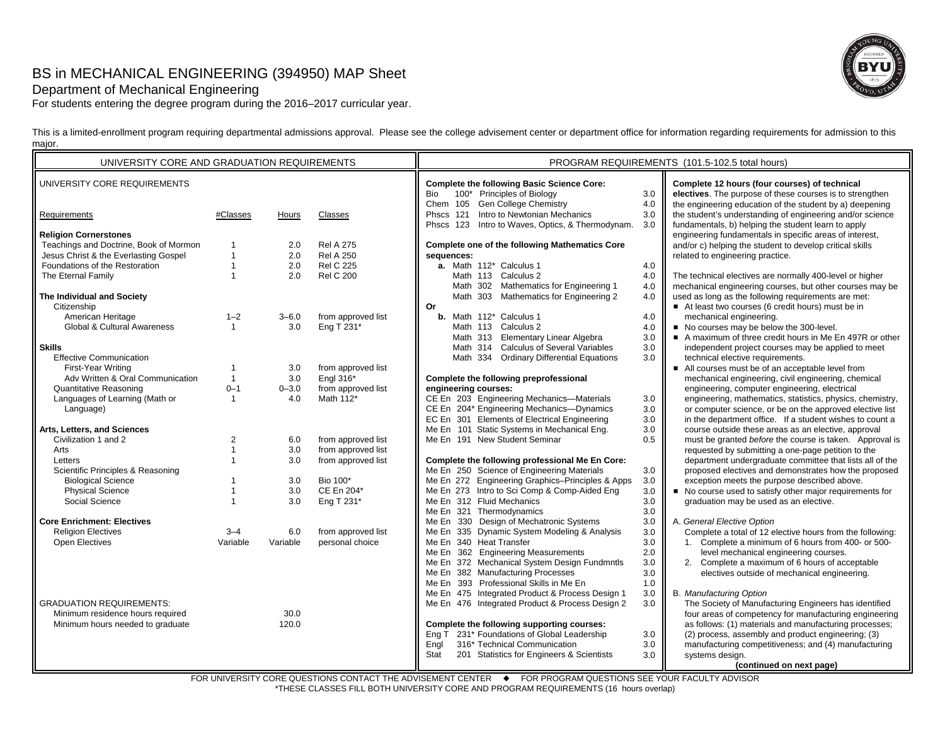# BS in MECHANICAL ENGINEERING (394950) MAP Sheet

## Department of Mechanical Engineering

For students entering the degree program during the 2016–2017 curricular year.

This is a limited-enrollment program requiring departmental admissions approval. Please see the college advisement center or department office for information regarding requirements for admission to this major.

| UNIVERSITY CORE AND GRADUATION REQUIREMENTS |                |           |                    | PROGRAM REQUIREMENTS (101.5-102.5 total hours)    |     |                                                           |
|---------------------------------------------|----------------|-----------|--------------------|---------------------------------------------------|-----|-----------------------------------------------------------|
| UNIVERSITY CORE REQUIREMENTS                |                |           |                    | <b>Complete the following Basic Science Core:</b> |     | Complete 12 hours (four courses) of technical             |
|                                             |                |           |                    | 100* Principles of Biology<br>Bio                 | 3.0 | electives. The purpose of these courses is to strengthen  |
|                                             |                |           |                    | Chem 105 Gen College Chemistry                    | 4.0 | the engineering education of the student by a) deepening  |
| Requirements                                | #Classes       | Hours     | Classes            | Phscs 121 Intro to Newtonian Mechanics            | 3.0 | the student's understanding of engineering and/or science |
|                                             |                |           |                    | Phscs 123 Intro to Waves, Optics, & Thermodynam.  | 3.0 | fundamentals, b) helping the student learn to apply       |
| <b>Religion Cornerstones</b>                |                |           |                    |                                                   |     | engineering fundamentals in specific areas of interest,   |
| Teachings and Doctrine, Book of Mormon      |                | 2.0       | <b>Rel A 275</b>   | Complete one of the following Mathematics Core    |     | and/or c) helping the student to develop critical skills  |
| Jesus Christ & the Everlasting Gospel       | $\mathbf{1}$   | 2.0       | <b>Rel A 250</b>   | sequences:                                        |     | related to engineering practice.                          |
| Foundations of the Restoration              | $\mathbf{1}$   | 2.0       | <b>Rel C 225</b>   | a. Math 112* Calculus 1                           | 4.0 |                                                           |
| The Eternal Family                          | $\mathbf{1}$   | 2.0       | <b>Rel C 200</b>   | Math 113 Calculus 2                               | 4.0 | The technical electives are normally 400-level or higher  |
|                                             |                |           |                    | Math 302 Mathematics for Engineering 1            | 4.0 | mechanical engineering courses, but other courses may be  |
| The Individual and Society                  |                |           |                    | Math 303 Mathematics for Engineering 2            | 4.0 | used as long as the following requirements are met:       |
| Citizenship                                 |                |           |                    | <b>Or</b>                                         |     | At least two courses (6 credit hours) must be in          |
| American Heritage                           | $1 - 2$        | $3 - 6.0$ | from approved list | <b>b.</b> Math 112 <sup>*</sup> Calculus 1        | 4.0 | mechanical engineering.                                   |
| Global & Cultural Awareness                 | $\mathbf{1}$   | 3.0       | Eng T 231*         | Math 113 Calculus 2                               | 4.0 | No courses may be below the 300-level.                    |
|                                             |                |           |                    | Math 313 Elementary Linear Algebra                | 3.0 | A maximum of three credit hours in Me En 497R or other    |
| <b>Skills</b>                               |                |           |                    | Math 314 Calculus of Several Variables            | 3.0 | independent project courses may be applied to meet        |
| <b>Effective Communication</b>              |                |           |                    | Math 334 Ordinary Differential Equations          | 3.0 | technical elective requirements.                          |
| First-Year Writing                          | $\mathbf{1}$   | 3.0       | from approved list |                                                   |     | All courses must be of an acceptable level from           |
| Adv Written & Oral Communication            | $\mathbf{1}$   | 3.0       | Engl 316*          | Complete the following preprofessional            |     | mechanical engineering, civil engineering, chemical       |
| <b>Quantitative Reasoning</b>               | $0 - 1$        | $0 - 3.0$ | from approved list | engineering courses:                              |     | engineering, computer engineering, electrical             |
| Languages of Learning (Math or              | $\mathbf{1}$   | 4.0       | Math 112*          | CE En 203 Engineering Mechanics-Materials         | 3.0 | engineering, mathematics, statistics, physics, chemistry, |
| Language)                                   |                |           |                    | CE En 204* Engineering Mechanics-Dynamics         | 3.0 | or computer science, or be on the approved elective list  |
|                                             |                |           |                    | EC En 301 Elements of Electrical Engineering      | 3.0 | in the department office. If a student wishes to count a  |
| Arts, Letters, and Sciences                 |                |           |                    | Me En 101 Static Systems in Mechanical Eng.       | 3.0 | course outside these areas as an elective, approval       |
| Civilization 1 and 2                        | $\overline{2}$ | 6.0       | from approved list | Me En 191 New Student Seminar                     | 0.5 | must be granted before the course is taken. Approval is   |
| Arts                                        | $\mathbf{1}$   | 3.0       | from approved list |                                                   |     | requested by submitting a one-page petition to the        |
| Letters                                     | $\mathbf{1}$   | 3.0       | from approved list | Complete the following professional Me En Core:   |     | department undergraduate committee that lists all of the  |
| Scientific Principles & Reasoning           |                |           |                    | Me En 250 Science of Engineering Materials        | 3.0 | proposed electives and demonstrates how the proposed      |
| <b>Biological Science</b>                   | $\mathbf{1}$   | 3.0       | Bio 100*           | Me En 272 Engineering Graphics-Principles & Apps  | 3.0 | exception meets the purpose described above.              |
| <b>Physical Science</b>                     | $\overline{1}$ | 3.0       | CE En 204*         | Me En 273 Intro to Sci Comp & Comp-Aided Eng      | 3.0 | No course used to satisfy other major requirements for    |
| Social Science                              | $\overline{1}$ | 3.0       | Eng T 231*         | Me En 312 Fluid Mechanics                         | 3.0 | graduation may be used as an elective.                    |
|                                             |                |           |                    | Me En 321 Thermodynamics                          | 3.0 |                                                           |
| <b>Core Enrichment: Electives</b>           |                |           |                    | Me En 330 Design of Mechatronic Systems           | 3.0 | A. General Elective Option                                |
| <b>Religion Electives</b>                   | $3 - 4$        | 6.0       | from approved list | Me En 335 Dynamic System Modeling & Analysis      | 3.0 | Complete a total of 12 elective hours from the following: |
| Open Electives                              | Variable       | Variable  | personal choice    | Me En 340 Heat Transfer                           | 3.0 | 1. Complete a minimum of 6 hours from 400- or 500-        |
|                                             |                |           |                    | Me En 362 Engineering Measurements                | 2.0 | level mechanical engineering courses.                     |
|                                             |                |           |                    | Me En 372 Mechanical System Design Fundmntls      | 3.0 | 2. Complete a maximum of 6 hours of acceptable            |
|                                             |                |           |                    | Me En 382 Manufacturing Processes                 | 3.0 | electives outside of mechanical engineering.              |
|                                             |                |           |                    | Me En 393 Professional Skills in Me En            | 1.0 |                                                           |
|                                             |                |           |                    | Me En 475 Integrated Product & Process Design 1   | 3.0 | <b>B.</b> Manufacturing Option                            |
| <b>GRADUATION REQUIREMENTS:</b>             |                |           |                    | Me En 476 Integrated Product & Process Design 2   | 3.0 | The Society of Manufacturing Engineers has identified     |
| Minimum residence hours required            |                | 30.0      |                    |                                                   |     | four areas of competency for manufacturing engineering    |
| Minimum hours needed to graduate            |                | 120.0     |                    | Complete the following supporting courses:        |     | as follows: (1) materials and manufacturing processes;    |
|                                             |                |           |                    | Eng T 231* Foundations of Global Leadership       | 3.0 | (2) process, assembly and product engineering; (3)        |
|                                             |                |           |                    | 316* Technical Communication<br>Engl              | 3.0 | manufacturing competitiveness; and (4) manufacturing      |
|                                             |                |           |                    | 201 Statistics for Engineers & Scientists<br>Stat | 3.0 | systems design.                                           |
|                                             |                |           |                    |                                                   |     | (continued on next page)                                  |

FOR UNIVERSITY CORE QUESTIONS CONTACT THE ADVISEMENT CENTER ♦ FOR PROGRAM QUESTIONS SEE YOUR FACULTY ADVISOR \*THESE CLASSES FILL BOTH UNIVERSITY CORE AND PROGRAM REQUIREMENTS (16 hours overlap)

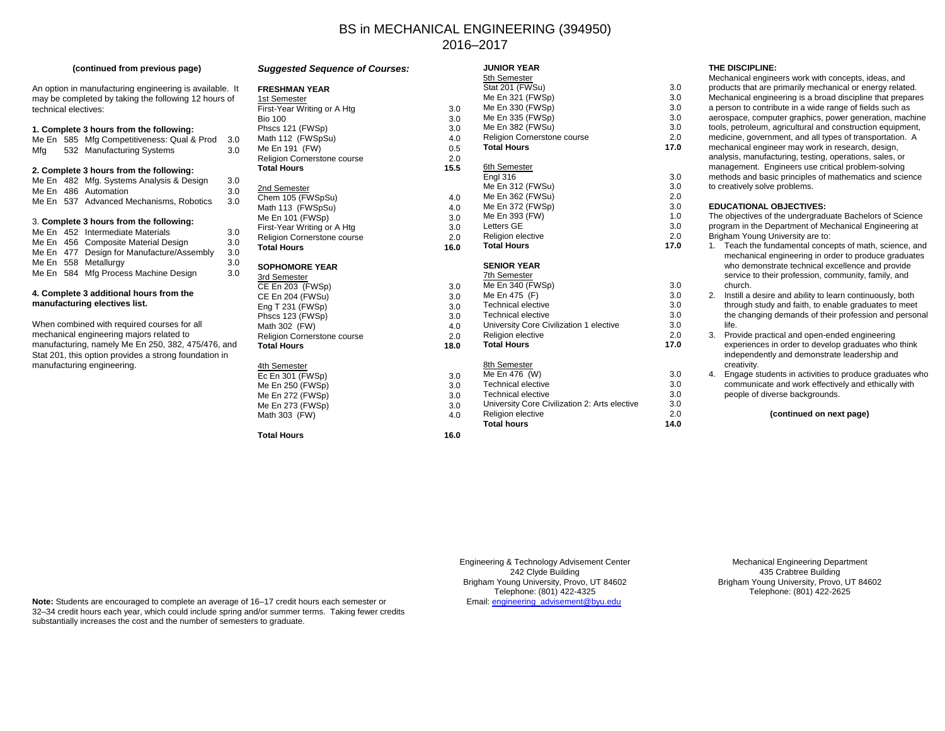## BS in MECHANICAL ENGINEERING (394950) 2016–2017

**JUNIOR YEAR**

#### **(continued from previous page)**

An option in manufacturing engineering is available. It may be completed by taking the following 12 hours of technical electives:

#### **1. Complete 3 hours from the following:**

|     | Me En 585 Mfg Competitiveness: Qual & Prod | 3.0 |
|-----|--------------------------------------------|-----|
| Mfa | 532 Manufacturing Systems                  | 3.0 |

## **2. Complete 3 hours from the following:**

|  | Me En 482 Mfg. Systems Analysis & Design  | 3.0 |
|--|-------------------------------------------|-----|
|  | Me En 486 Automation                      | 3.0 |
|  | Me En 537 Advanced Mechanisms, Robotics   | 3.0 |
|  |                                           |     |
|  | 3. Complete 3 hours from the following:   |     |
|  | Me En 452 Intermediate Materials          | 3.0 |
|  | Me En 456 Composite Material Design       | 3.0 |
|  | Me En 477 Design for Manufacture/Assembly | 3.0 |
|  | Me En 558 Metallurgy                      | 3.0 |
|  | Me En 584 Mfg Process Machine Design      | 3 O |

#### **4. Complete 3 additional hours from the manufacturing electives list.**

Me En 584 Mfg Process Machine Design

When combined with required courses for all mechanical engineering majors related to manufacturing, namely Me En 250, 382, 475/476, and Stat 201, this option provides a strong foundation in manufacturing engineering.

## *Suggested Sequence of Courses:* **FRESHMAN YEAR**1st SemesterFirst-Year Writing or A Htg 3.0 **Bio 100** Phscs 121 (FWSp) Math 112 (FWSpSu) Me En 191 (FW) Religion Cornerstone course **Total Hours** 2nd SemesterChem 105 (FWSpSu) 4.0 Math 113 (FWSpSu) Me En  $101$  (FWSp). First-Year Writing or A Htg Religion Cornerstone course **Total Hours**

## **SOPHOMORE YEAR**

| 3.0  |
|------|
| 3.0  |
| 3.0  |
| 3.0  |
| 4.0  |
| 2.0  |
| 18.0 |
|      |
| 3.0  |
|      |

## Me En 250 (FWSp) Me En 272 (FWSp) Me En 273 (FWSp) Math 303 (FW) 4.0

**Total Hours 16.0**

|      | 5th Semester                                  |      |
|------|-----------------------------------------------|------|
|      | Stat 201 (FWSu)                               | 3.0  |
|      | Me En 321 (FWSp)                              | 3.0  |
| 3.0  | Me En 330 (FWSp)                              | 3.0  |
| 3.0  | Me En 335 (FWSp)                              | 3.0  |
| 3.0  | Me En 382 (FWSu)                              | 3.0  |
| 4.0  | <b>Religion Cornerstone course</b>            | 2.0  |
| 0.5  | <b>Total Hours</b>                            | 17.0 |
| 2.0  |                                               |      |
| 15.5 | 6th Semester                                  |      |
|      | Engl 316                                      | 3.0  |
|      | Me En 312 (FWSu)                              | 3.0  |
| 4.0  | Me En 362 (FWSu)                              | 2.0  |
| 4.0  | Me En 372 (FWSp)                              | 3.0  |
| 3.0  | Me En 393 (FW)                                | 1.0  |
| 3.0  | <b>Letters GE</b>                             | 3.0  |
| 2.0  | <b>Religion elective</b>                      | 2.0  |
| 16.0 | <b>Total Hours</b>                            | 17.0 |
|      | <b>SENIOR YEAR</b>                            |      |
|      | <b>7th Semester</b>                           |      |
| 3.0  | Me En 340 (FWSp)                              | 3.0  |
| 3.0  | Me En 475 (F)                                 | 3.0  |
| 3.0  | <b>Technical elective</b>                     | 3.0  |
| 3.0  | <b>Technical elective</b>                     | 3.0  |
| 4.0  | University Core Civilization 1 elective       | 3.0  |
| 2.0  | Religion elective                             | 2.0  |
| 18.0 | <b>Total Hours</b>                            | 17.0 |
|      | 8th Semester                                  |      |
| 3.0  | Me En 476 (W)                                 | 3.0  |
| 3.0  | <b>Technical elective</b>                     | 3.0  |
| 3.0  | <b>Technical elective</b>                     | 3.0  |
| 3.0  | University Core Civilization 2: Arts elective | 3.0  |
| 4.0  | Religion elective                             | 2.0  |
|      |                                               |      |

**Total hours 14.0**

### **THE DISCIPLINE:**

| 3.0  | Mechanical engineers work with concepts, ideas, and<br>products that are primarily mechanical or energy related.                                                                                                                       |
|------|----------------------------------------------------------------------------------------------------------------------------------------------------------------------------------------------------------------------------------------|
| 3.0  | Mechanical engineering is a broad discipline that prepares                                                                                                                                                                             |
| 3.0  | a person to contribute in a wide range of fields such as                                                                                                                                                                               |
| 3.0  | aerospace, computer graphics, power generation, machine                                                                                                                                                                                |
| 3.0  | tools, petroleum, agricultural and construction equipment,                                                                                                                                                                             |
| 2.0  | medicine, government, and all types of transportation. A                                                                                                                                                                               |
| 17.0 | mechanical engineer may work in research, design,<br>analysis, manufacturing, testing, operations, sales, or<br>management. Engineers use critical problem-solving                                                                     |
| 3.0  | methods and basic principles of mathematics and science                                                                                                                                                                                |
| 3.0  | to creatively solve problems.                                                                                                                                                                                                          |
| 2.0  |                                                                                                                                                                                                                                        |
| 3.0  | <b>EDUCATIONAL OBJECTIVES:</b>                                                                                                                                                                                                         |
| 1.0  | The objectives of the undergraduate Bachelors of Science                                                                                                                                                                               |
| 3.0  | program in the Department of Mechanical Engineering at                                                                                                                                                                                 |
| 2.0  | Brigham Young University are to:                                                                                                                                                                                                       |
| 17.0 | Teach the fundamental concepts of math, science, and<br>$1_{\cdot}$<br>mechanical engineering in order to produce graduates<br>who demonstrate technical excellence and provide<br>service to their profession, community, family, and |
| 3.0  | church.                                                                                                                                                                                                                                |
| 3.0  | Instill a desire and ability to learn continuously, both<br>2.                                                                                                                                                                         |
| 3.0  | through study and faith, to enable graduates to meet                                                                                                                                                                                   |
| 3.0  | the changing demands of their profession and personal                                                                                                                                                                                  |
| 3.0  | life.                                                                                                                                                                                                                                  |
| 2.0  | Provide practical and open-ended engineering<br>3.                                                                                                                                                                                     |
| 17.0 | experiences in order to develop graduates who think<br>independently and demonstrate leadership and<br>creativity.                                                                                                                     |
| 3.0  | Engage students in activities to produce graduates who<br>4.                                                                                                                                                                           |
| 3.0  | communicate and work effectively and ethically with                                                                                                                                                                                    |
| 3.0  | people of diverse backgrounds.                                                                                                                                                                                                         |
| 3.0  |                                                                                                                                                                                                                                        |
| 2.0  | (continued on next page)                                                                                                                                                                                                               |

Engineering & Technology Advisement Center 242 Clyde Building Brigham Young University, Provo, UT 84602 Telephone: (801) 422-4325 Email: engineering\_advisement@byu.edu

Mechanical Engineering Department 435 Crabtree Building Brigham Young University, Provo, UT 84602 Telephone: (801) 422-2625

**Note:** Students are encouraged to complete an average of 16–17 credit hours each semester or 32–34 credit hours each year, which could include spring and/or summer terms. Taking fewer credits substantially increases the cost and the number of semesters to graduate.